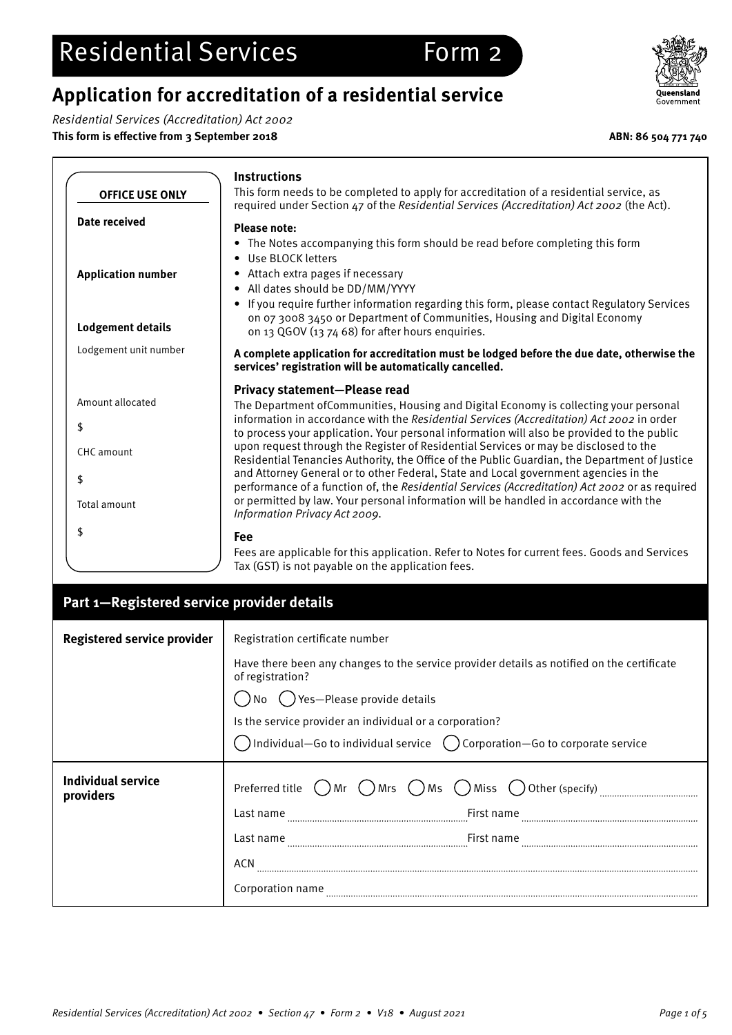# **Application for accreditation of a residential service**

Residential Services (Accreditation) Act 2002

**This form is effective from 3 September 2018 ABN: 86 504 771 740**



|                           | <b>Instructions</b>                                                                                                                                                                                                                                                                 |
|---------------------------|-------------------------------------------------------------------------------------------------------------------------------------------------------------------------------------------------------------------------------------------------------------------------------------|
| <b>OFFICE USE ONLY</b>    | This form needs to be completed to apply for accreditation of a residential service, as<br>required under Section 47 of the Residential Services (Accreditation) Act 2002 (the Act).                                                                                                |
| Date received             | <b>Please note:</b><br>• The Notes accompanying this form should be read before completing this form<br>• Use BLOCK letters                                                                                                                                                         |
| <b>Application number</b> | • Attach extra pages if necessary<br>• All dates should be DD/MM/YYYY<br>If you require further information regarding this form, please contact Regulatory Services                                                                                                                 |
| <b>Lodgement details</b>  | on 07 3008 3450 or Department of Communities, Housing and Digital Economy<br>on 13 QGOV (13 74 68) for after hours enquiries.                                                                                                                                                       |
| Lodgement unit number     | A complete application for accreditation must be lodged before the due date, otherwise the<br>services' registration will be automatically cancelled.                                                                                                                               |
| Amount allocated          | <b>Privacy statement-Please read</b><br>The Department of Communities, Housing and Digital Economy is collecting your personal                                                                                                                                                      |
| \$                        | information in accordance with the Residential Services (Accreditation) Act 2002 in order                                                                                                                                                                                           |
| CHC amount                | to process your application. Your personal information will also be provided to the public<br>upon request through the Register of Residential Services or may be disclosed to the<br>Residential Tenancies Authority, the Office of the Public Guardian, the Department of Justice |
| \$<br>Total amount        | and Attorney General or to other Federal, State and Local government agencies in the<br>performance of a function of, the Residential Services (Accreditation) Act 2002 or as required<br>or permitted by law. Your personal information will be handled in accordance with the     |
|                           | Information Privacy Act 2009.                                                                                                                                                                                                                                                       |
| \$                        | <b>Fee</b><br>Fees are applicable for this application. Refer to Notes for current fees. Goods and Services<br>Tax (GST) is not payable on the application fees.                                                                                                                    |

| Part 1-Registered service provider details |                                                                                                                                                                                                                                                                                                   |  |
|--------------------------------------------|---------------------------------------------------------------------------------------------------------------------------------------------------------------------------------------------------------------------------------------------------------------------------------------------------|--|
| <b>Registered service provider</b>         | Registration certificate number                                                                                                                                                                                                                                                                   |  |
|                                            | Have there been any changes to the service provider details as notified on the certificate<br>of registration?<br>Yes-Please provide details<br>Is the service provider an individual or a corporation?<br>Individual–Go to individual service $\binom{1}{x}$ Corporation–Go to corporate service |  |
| Individual service<br>providers            | Preferred title<br>()Ms<br>( ) Miss ( ) Other (specify)<br>Mrs<br>) Mr<br>First name<br>Last name<br>First name<br>Last name<br>ACN<br>Corporation name                                                                                                                                           |  |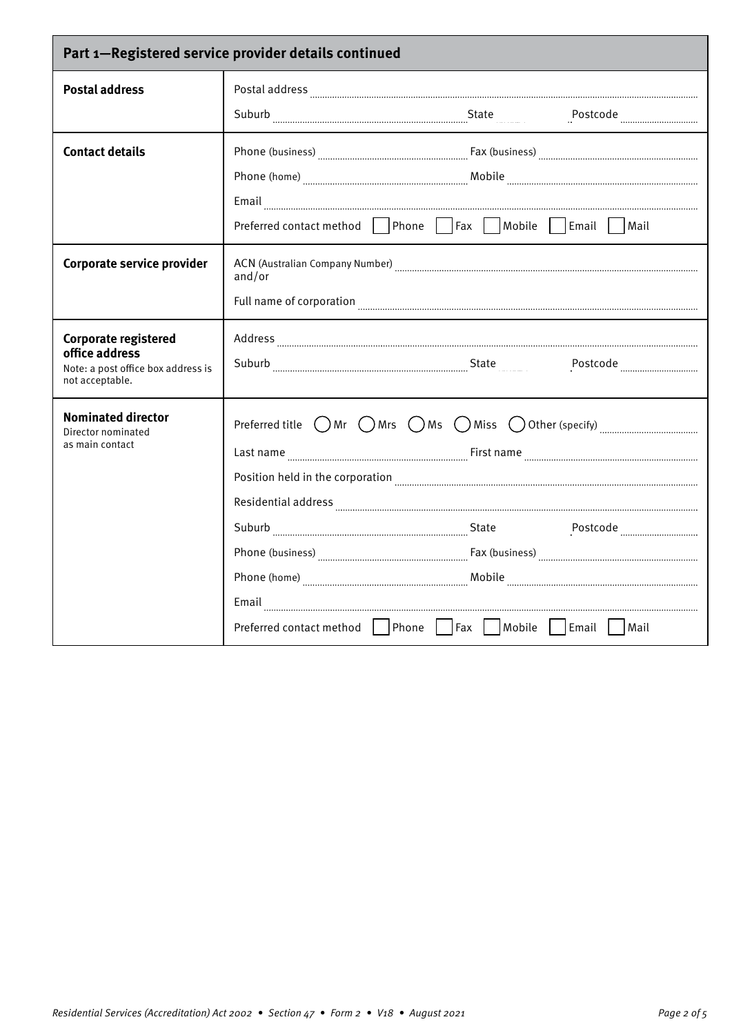| Part 1-Registered service provider details continued                                                   |                                                                                                                                                                                                                                                                                                                                                                                                                                                                                                                                                                                                                                                                                                                                                                                                                                                                                  |  |
|--------------------------------------------------------------------------------------------------------|----------------------------------------------------------------------------------------------------------------------------------------------------------------------------------------------------------------------------------------------------------------------------------------------------------------------------------------------------------------------------------------------------------------------------------------------------------------------------------------------------------------------------------------------------------------------------------------------------------------------------------------------------------------------------------------------------------------------------------------------------------------------------------------------------------------------------------------------------------------------------------|--|
| <b>Postal address</b>                                                                                  |                                                                                                                                                                                                                                                                                                                                                                                                                                                                                                                                                                                                                                                                                                                                                                                                                                                                                  |  |
|                                                                                                        | Suburb Suburb Suburb State Suburb Decision Contractor State State State State                                                                                                                                                                                                                                                                                                                                                                                                                                                                                                                                                                                                                                                                                                                                                                                                    |  |
| <b>Contact details</b>                                                                                 | Preferred contact method Phone Fax Mobile Email Mail                                                                                                                                                                                                                                                                                                                                                                                                                                                                                                                                                                                                                                                                                                                                                                                                                             |  |
| Corporate service provider                                                                             | ACN (Australian Company Number) [11] manuscription and the company Number of Account Account and Account Account Account Account Account Account Account Account Account Account Account Account Account Account Account Accou<br>and/or                                                                                                                                                                                                                                                                                                                                                                                                                                                                                                                                                                                                                                         |  |
|                                                                                                        |                                                                                                                                                                                                                                                                                                                                                                                                                                                                                                                                                                                                                                                                                                                                                                                                                                                                                  |  |
| <b>Corporate registered</b><br>office address<br>Note: a post office box address is<br>not acceptable. | $\large \bf Address \ _{ \color{blue} \textcolor{blue} \textcolor{blue} \textcolor{blue} \textcolor{blue} \textcolor{blue} \textcolor{blue} \textcolor{blue} \textcolor{blue} \textcolor{blue} \textcolor{blue} \textcolor{blue} \textcolor{blue} \textcolor{blue} \textcolor{blue} \textcolor{blue} \textcolor{blue} \textcolor{blue} \textcolor{blue} \textcolor{blue} \textcolor{blue} \textcolor{blue} \textcolor{blue} \textcolor{blue} \textcolor{blue} \textcolor{blue} \textcolor{blue} \textcolor{blue} \textcolor{blue} \textcolor{blue} \textcolor{blue} \textcolor{blue} \textcolor{blue} \textcolor{blue} \textcolor{blue} \text$<br>Suburb Electron Contract Contract Contract Contract Contract Contract Contract Contract Contract Contract Contract Contract Contract Contract Contract Contract Contract Contract Contract Contract Contract Contract Contract |  |
| <b>Nominated director</b><br>Director nominated<br>as main contact                                     | Preferred title $\bigcirc$ Mr $\bigcirc$ Mrs $\bigcirc$ Ms $\bigcirc$ Miss $\bigcirc$ Other (specify) $\ldots$ $\ldots$ $\ldots$ $\ldots$ $\ldots$<br>Residential address [111] All and the state of the contract of the state of the state of the state of the state of the state of the state of the state of the state of the state of the state of the state of the state of the                                                                                                                                                                                                                                                                                                                                                                                                                                                                                             |  |
|                                                                                                        | Suburb Electronic Contract Postcode Electronic Contract Postcode Electronic Contract Postcode Electronic Contract Contract Contract Contract Contract Contract Contract Contract Contract Contract Contract Contract Contract<br>Phone (business) <b>Example 2018</b> (business) <b>Phone (business) EX</b> (business) <b>Phone (business) EX</b> (business) <b>EX</b> (business) <b>EX</b> (business) <b>EX</b> (business) <b>EX</b> (business) <b>EX</b> (business) <b>EX</b> (business) <b>EX</b> (busines                                                                                                                                                                                                                                                                                                                                                                    |  |
|                                                                                                        |                                                                                                                                                                                                                                                                                                                                                                                                                                                                                                                                                                                                                                                                                                                                                                                                                                                                                  |  |
|                                                                                                        | Preferred contact method   Phone   Fax   Mobile   Email   Mail                                                                                                                                                                                                                                                                                                                                                                                                                                                                                                                                                                                                                                                                                                                                                                                                                   |  |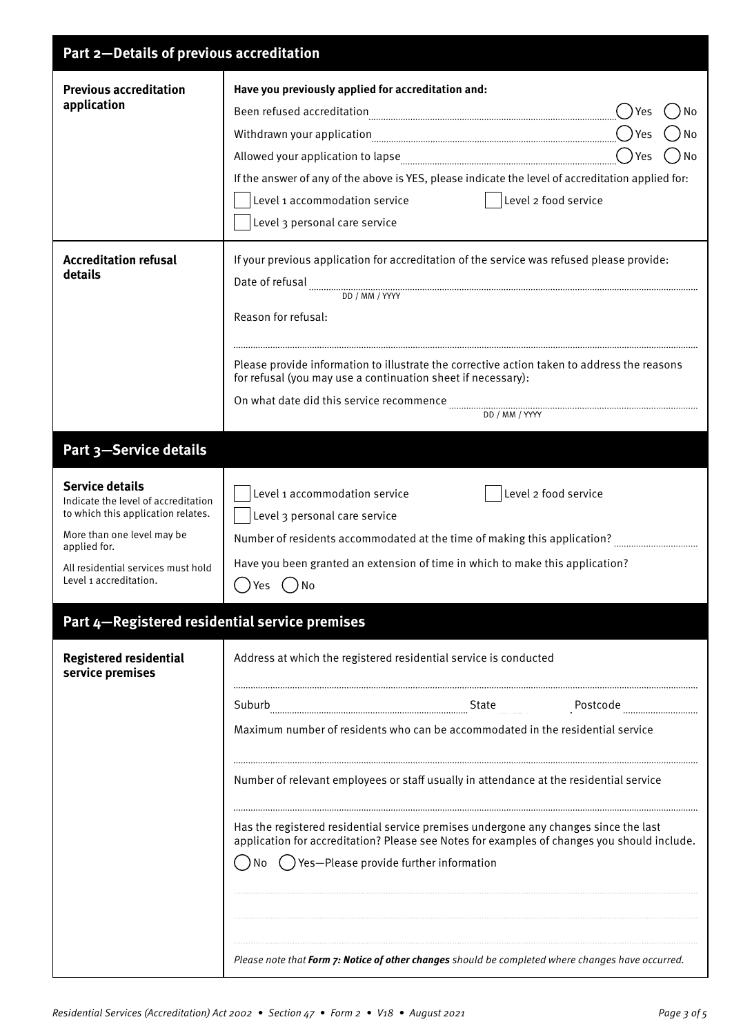| Part 2-Details of previous accreditation                                                                                                                                                                          |                                                                                                                                                                                                                                                                                                                                                                                                                                       |  |
|-------------------------------------------------------------------------------------------------------------------------------------------------------------------------------------------------------------------|---------------------------------------------------------------------------------------------------------------------------------------------------------------------------------------------------------------------------------------------------------------------------------------------------------------------------------------------------------------------------------------------------------------------------------------|--|
| <b>Previous accreditation</b><br>application                                                                                                                                                                      | Have you previously applied for accreditation and:<br>Yes<br>No<br>No<br>Yes<br>No<br>If the answer of any of the above is YES, please indicate the level of accreditation applied for:<br>Level 1 accommodation service<br>Level 2 food service<br>Level 3 personal care service                                                                                                                                                     |  |
| <b>Accreditation refusal</b><br>details                                                                                                                                                                           | If your previous application for accreditation of the service was refused please provide:<br>Reason for refusal:<br>Please provide information to illustrate the corrective action taken to address the reasons<br>for refusal (you may use a continuation sheet if necessary):<br>DD / MM / YYYY                                                                                                                                     |  |
| Part 3-Service details                                                                                                                                                                                            |                                                                                                                                                                                                                                                                                                                                                                                                                                       |  |
| <b>Service details</b><br>Indicate the level of accreditation<br>to which this application relates.<br>More than one level may be<br>applied for.<br>All residential services must hold<br>Level 1 accreditation. | Level 2 food service<br>Level 1 accommodation service<br>Level 3 personal care service<br>Number of residents accommodated at the time of making this application?<br>Have you been granted an extension of time in which to make this application?<br>) Yes<br>$($ )No                                                                                                                                                               |  |
| Part 4-Registered residential service premises                                                                                                                                                                    |                                                                                                                                                                                                                                                                                                                                                                                                                                       |  |
| <b>Registered residential</b><br>service premises                                                                                                                                                                 | Address at which the registered residential service is conducted                                                                                                                                                                                                                                                                                                                                                                      |  |
|                                                                                                                                                                                                                   | Postcode<br>Maximum number of residents who can be accommodated in the residential service                                                                                                                                                                                                                                                                                                                                            |  |
|                                                                                                                                                                                                                   | Number of relevant employees or staff usually in attendance at the residential service<br>Has the registered residential service premises undergone any changes since the last<br>application for accreditation? Please see Notes for examples of changes you should include.<br>() Yes-Please provide further information<br>No<br>Please note that Form 7: Notice of other changes should be completed where changes have occurred. |  |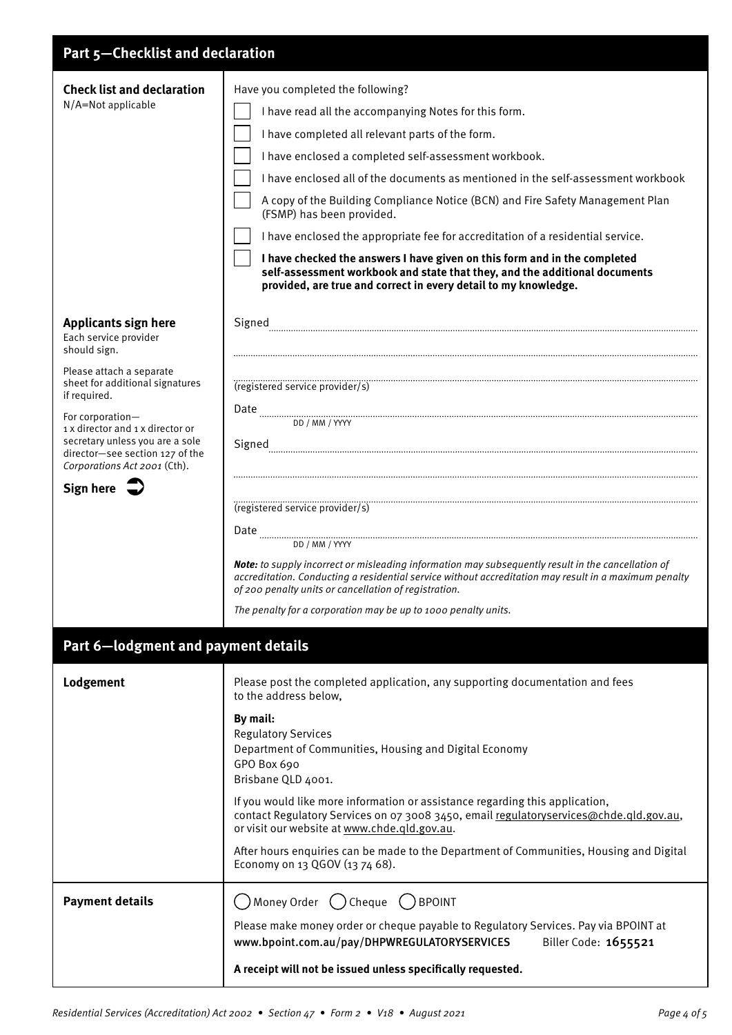| Part 5-Checklist and declaration                                                                                                                                                                                                                                                                                                      |                                                                                                                                                                                                                                                                                                                                                                                                                                                                                                                                                                                                                                                                                                                              |  |
|---------------------------------------------------------------------------------------------------------------------------------------------------------------------------------------------------------------------------------------------------------------------------------------------------------------------------------------|------------------------------------------------------------------------------------------------------------------------------------------------------------------------------------------------------------------------------------------------------------------------------------------------------------------------------------------------------------------------------------------------------------------------------------------------------------------------------------------------------------------------------------------------------------------------------------------------------------------------------------------------------------------------------------------------------------------------------|--|
| <b>Check list and declaration</b><br>N/A=Not applicable                                                                                                                                                                                                                                                                               | Have you completed the following?<br>I have read all the accompanying Notes for this form.<br>I have completed all relevant parts of the form.<br>I have enclosed a completed self-assessment workbook.<br>I have enclosed all of the documents as mentioned in the self-assessment workbook<br>A copy of the Building Compliance Notice (BCN) and Fire Safety Management Plan<br>(FSMP) has been provided.<br>I have enclosed the appropriate fee for accreditation of a residential service.<br>I have checked the answers I have given on this form and in the completed<br>self-assessment workbook and state that they, and the additional documents<br>provided, are true and correct in every detail to my knowledge. |  |
| <b>Applicants sign here</b><br>Each service provider<br>should sign.<br>Please attach a separate<br>sheet for additional signatures<br>if required.<br>For corporation-<br>1 x director and 1 x director or<br>secretary unless you are a sole<br>director-see section 127 of the<br>Corporations Act 2001 (Cth).<br>Sign here $\sum$ | Signed<br>(registered service provider/s)<br>DD / MM / YYYY<br>(registered service provider/s)<br>DD / MM / YYYY<br>Note: to supply incorrect or misleading information may subsequently result in the cancellation of<br>accreditation. Conducting a residential service without accreditation may result in a maximum penalty<br>of 200 penalty units or cancellation of registration.<br>The penalty for a corporation may be up to 1000 penalty units.                                                                                                                                                                                                                                                                   |  |
| Part 6-lodgment and payment details                                                                                                                                                                                                                                                                                                   |                                                                                                                                                                                                                                                                                                                                                                                                                                                                                                                                                                                                                                                                                                                              |  |
| Lodgement                                                                                                                                                                                                                                                                                                                             | Please post the completed application, any supporting documentation and fees<br>to the address below,<br>By mail:<br><b>Regulatory Services</b><br>Department of Communities, Housing and Digital Economy<br>GPO Box 690<br>Brisbane QLD 4001.<br>If you would like more information or assistance regarding this application,<br>contact Regulatory Services on 07 3008 3450, email regulatoryservices@chde.qld.gov.au,<br>or visit our website at www.chde.qld.gov.au.<br>After hours enquiries can be made to the Department of Communities, Housing and Digital<br>Economy on 13 QGOV (13 74 68).                                                                                                                        |  |
| <b>Payment details</b>                                                                                                                                                                                                                                                                                                                | Money Order ( ) Cheque ( ) BPOINT<br>Please make money order or cheque payable to Regulatory Services. Pay via BPOINT at<br>Biller Code: 1655521<br>www.bpoint.com.au/pay/DHPWREGULATORYSERVICES<br>A receipt will not be issued unless specifically requested.                                                                                                                                                                                                                                                                                                                                                                                                                                                              |  |